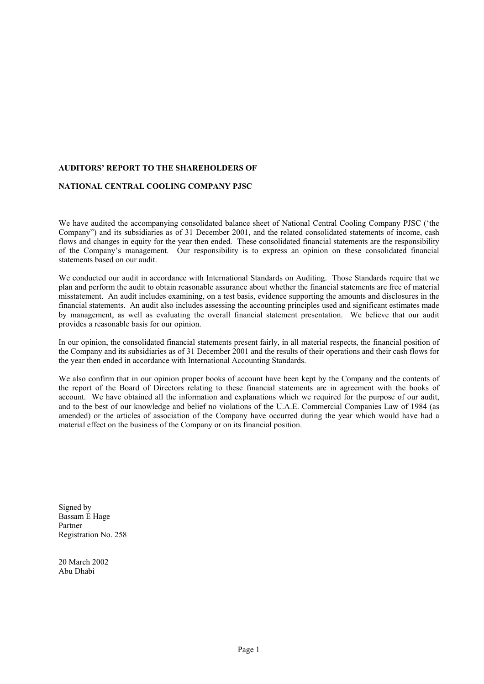# **AUDITORS' REPORT TO THE SHAREHOLDERS OF**

# **NATIONAL CENTRAL COOLING COMPANY PJSC**

We have audited the accompanying consolidated balance sheet of National Central Cooling Company PJSC ('the Company") and its subsidiaries as of 31 December 2001, and the related consolidated statements of income, cash flows and changes in equity for the year then ended. These consolidated financial statements are the responsibility of the Company's management. Our responsibility is to express an opinion on these consolidated financial statements based on our audit.

We conducted our audit in accordance with International Standards on Auditing. Those Standards require that we plan and perform the audit to obtain reasonable assurance about whether the financial statements are free of material misstatement. An audit includes examining, on a test basis, evidence supporting the amounts and disclosures in the financial statements. An audit also includes assessing the accounting principles used and significant estimates made by management, as well as evaluating the overall financial statement presentation. We believe that our audit provides a reasonable basis for our opinion.

In our opinion, the consolidated financial statements present fairly, in all material respects, the financial position of the Company and its subsidiaries as of 31 December 2001 and the results of their operations and their cash flows for the year then ended in accordance with International Accounting Standards.

We also confirm that in our opinion proper books of account have been kept by the Company and the contents of the report of the Board of Directors relating to these financial statements are in agreement with the books of account. We have obtained all the information and explanations which we required for the purpose of our audit, and to the best of our knowledge and belief no violations of the U.A.E. Commercial Companies Law of 1984 (as amended) or the articles of association of the Company have occurred during the year which would have had a material effect on the business of the Company or on its financial position.

Signed by Bassam E Hage Partner Registration No. 258

20 March 2002 Abu Dhabi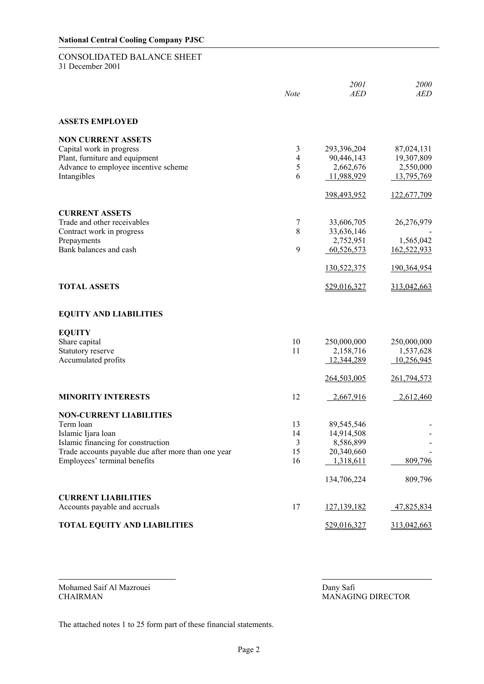# CONSOLIDATED BALANCE SHEET 31 December 2001

|                                                     | <b>Note</b> | 2001<br><b>AED</b> | 2000<br><b>AED</b> |
|-----------------------------------------------------|-------------|--------------------|--------------------|
| <b>ASSETS EMPLOYED</b>                              |             |                    |                    |
| <b>NON CURRENT ASSETS</b>                           |             |                    |                    |
| Capital work in progress                            | 3           | 293,396,204        | 87,024,131         |
| Plant, furniture and equipment                      | 4           | 90,446,143         | 19,307,809         |
| Advance to employee incentive scheme                | 5           | 2,662,676          | 2,550,000          |
| Intangibles                                         | 6           | 11,988,929         | 13,795,769         |
|                                                     |             | 398,493,952        | 122,677,709        |
| <b>CURRENT ASSETS</b>                               |             |                    |                    |
| Trade and other receivables                         | 7           | 33,606,705         | 26,276,979         |
| Contract work in progress                           | 8           | 33,636,146         |                    |
| Prepayments                                         |             | 2,752,951          | 1,565,042          |
| Bank balances and cash                              | 9           | 60,526,573         | 162,522,933        |
|                                                     |             | 130,522,375        | 190,364,954        |
| <b>TOTAL ASSETS</b>                                 |             | 529,016,327        | 313,042,663        |
| <b>EQUITY AND LIABILITIES</b>                       |             |                    |                    |
| <b>EQUITY</b>                                       |             |                    |                    |
| Share capital                                       | 10          | 250,000,000        | 250,000,000        |
| Statutory reserve                                   | 11          | 2,158,716          | 1,537,628          |
| Accumulated profits                                 |             | 12,344,289         | 10,256,945         |
|                                                     |             | 264,503,005        | 261,794,573        |
| <b>MINORITY INTERESTS</b>                           | 12          | 2,667,916          | 2,612,460          |
| <b>NON-CURRENT LIABILITIES</b>                      |             |                    |                    |
| Term loan                                           | 13          | 89,545,546         |                    |
| Islamic Ijara loan                                  | 14          | 14,914,508         |                    |
| Islamic financing for construction                  | 3           | 8,586,899          |                    |
| Trade accounts payable due after more than one year | 15          | 20,340,660         |                    |
| Employees' terminal benefits                        | 16          | 1,318,611          | 809,796            |
|                                                     |             | 134,706,224        | 809,796            |
| <b>CURRENT LIABILITIES</b>                          |             |                    |                    |
| Accounts payable and accruals                       | 17          | 127,139,182        | 47,825,834         |

**TOTAL EQUITY AND LIABILITIES** 529,016,327 313,042,663

Mohamed Saif Al Mazrouei Dany Safi CHAIRMAN MANAGING DIRECTOR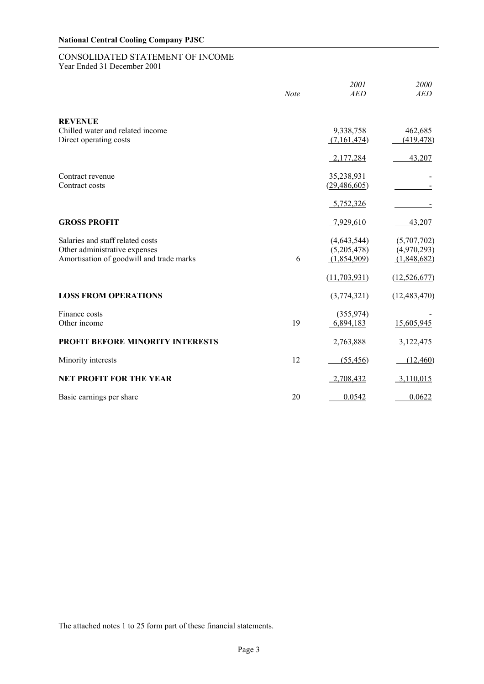# CONSOLIDATED STATEMENT OF INCOME

Year Ended 31 December 2001

|                                                                           | <b>Note</b> | 2001<br><b>AED</b>         | 2000<br><b>AED</b>         |
|---------------------------------------------------------------------------|-------------|----------------------------|----------------------------|
| <b>REVENUE</b><br>Chilled water and related income                        |             | 9,338,758                  | 462,685                    |
| Direct operating costs                                                    |             | (7,161,474)                | (419, 478)                 |
|                                                                           |             | 2,177,284                  | 43,207                     |
| Contract revenue                                                          |             | 35,238,931                 |                            |
| Contract costs                                                            |             | (29, 486, 605)             |                            |
|                                                                           |             | 5,752,326                  |                            |
| <b>GROSS PROFIT</b>                                                       |             | 7,929,610                  | 43,207                     |
| Salaries and staff related costs                                          |             | (4, 643, 544)              | (5,707,702)                |
| Other administrative expenses<br>Amortisation of goodwill and trade marks | 6           | (5,205,478)<br>(1,854,909) | (4,970,293)<br>(1,848,682) |
|                                                                           |             |                            |                            |
|                                                                           |             | (11, 703, 931)             | (12, 526, 677)             |
| <b>LOSS FROM OPERATIONS</b>                                               |             | (3,774,321)                | (12, 483, 470)             |
| Finance costs                                                             |             | (355, 974)                 |                            |
| Other income                                                              | 19          | 6,894,183                  | 15,605,945                 |
| PROFIT BEFORE MINORITY INTERESTS                                          |             | 2,763,888                  | 3,122,475                  |
| Minority interests                                                        | 12          | (55, 456)                  | (12, 460)                  |
| <b>NET PROFIT FOR THE YEAR</b>                                            |             | 2,708,432                  | 3,110,015                  |
| Basic earnings per share                                                  | 20          | 0.0542                     | 0.0622                     |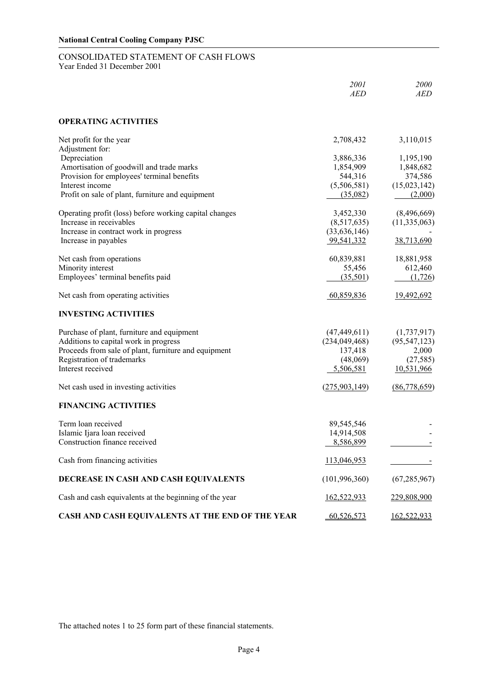# CONSOLIDATED STATEMENT OF CASH FLOWS

Year Ended 31 December 2001

|                                                        | 2001<br><b>AED</b> | 2000<br><b>AED</b> |
|--------------------------------------------------------|--------------------|--------------------|
| <b>OPERATING ACTIVITIES</b>                            |                    |                    |
| Net profit for the year<br>Adjustment for:             | 2,708,432          | 3,110,015          |
| Depreciation                                           | 3,886,336          | 1,195,190          |
| Amortisation of goodwill and trade marks               | 1,854,909          | 1,848,682          |
| Provision for employees' terminal benefits             | 544,316            | 374,586            |
| Interest income                                        | (5,506,581)        | (15,023,142)       |
| Profit on sale of plant, furniture and equipment       | (35,082)           | (2,000)            |
| Operating profit (loss) before working capital changes | 3,452,330          | (8,496,669)        |
| Increase in receivables                                | (8,517,635)        | (11, 335, 063)     |
| Increase in contract work in progress                  | (33, 636, 146)     |                    |
| Increase in payables                                   | 99,541,332         | 38,713,690         |
| Net cash from operations                               | 60,839,881         | 18,881,958         |
| Minority interest                                      | 55,456             | 612,460            |
| Employees' terminal benefits paid                      | (35,501)           | (1, 726)           |
| Net cash from operating activities                     | 60,859,836         | 19,492,692         |
| <b>INVESTING ACTIVITIES</b>                            |                    |                    |
| Purchase of plant, furniture and equipment             | (47, 449, 611)     | (1,737,917)        |
| Additions to capital work in progress                  | (234, 049, 468)    | (95, 547, 123)     |
| Proceeds from sale of plant, furniture and equipment   | 137,418            | 2,000              |
| Registration of trademarks                             | (48,069)           | (27, 585)          |
| Interest received                                      | 5,506,581          | 10,531,966         |
| Net cash used in investing activities                  | (275, 903, 149)    | (86,778,659)       |
| <b>FINANCING ACTIVITIES</b>                            |                    |                    |
| Term loan received                                     | 89,545,546         |                    |
| Islamic Ijara loan received                            | 14,914,508         |                    |
| Construction finance received                          | 8,586,899          |                    |
| Cash from financing activities                         | 113,046,953        |                    |
| DECREASE IN CASH AND CASH EQUIVALENTS                  | (101, 996, 360)    | (67, 285, 967)     |
| Cash and cash equivalents at the beginning of the year | 162,522,933        | 229,808,900        |
| CASH AND CASH EQUIVALENTS AT THE END OF THE YEAR       | 60,526,573         | 162,522,933        |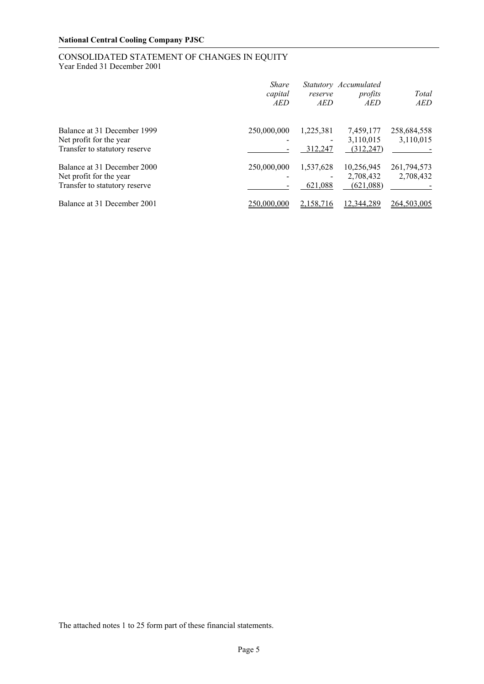# CONSOLIDATED STATEMENT OF CHANGES IN EQUITY

Year Ended 31 December 2001

|                                                                                         | <b>Share</b><br>capital<br><b>AED</b> | reserve<br><i>AED</i>     | Statutory Accumulated<br>profits<br><i>AED</i> | Total<br><i>AED</i>      |
|-----------------------------------------------------------------------------------------|---------------------------------------|---------------------------|------------------------------------------------|--------------------------|
| Balance at 31 December 1999<br>Net profit for the year<br>Transfer to statutory reserve | 250,000,000                           | 1,225,381<br>-<br>312,247 | 7,459,177<br>3,110,015<br>(312, 247)           | 258,684,558<br>3,110,015 |
| Balance at 31 December 2000<br>Net profit for the year<br>Transfer to statutory reserve | 250,000,000                           | 1,537,628<br>621,088      | 10,256,945<br>2,708,432<br>(621,088)           | 261,794,573<br>2,708,432 |
| Balance at 31 December 2001                                                             | 250,000,000                           | 2.158.716                 | 12.344.289                                     | 264.503.005              |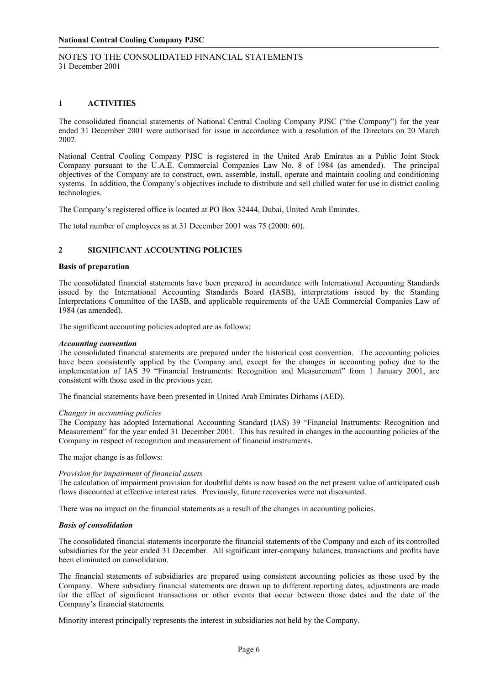# **1 ACTIVITIES**

The consolidated financial statements of National Central Cooling Company PJSC ("the Company") for the year ended 31 December 2001 were authorised for issue in accordance with a resolution of the Directors on 20 March 2002.

National Central Cooling Company PJSC is registered in the United Arab Emirates as a Public Joint Stock Company pursuant to the U.A.E. Commercial Companies Law No. 8 of 1984 (as amended). The principal objectives of the Company are to construct, own, assemble, install, operate and maintain cooling and conditioning systems. In addition, the Company's objectives include to distribute and sell chilled water for use in district cooling technologies.

The Company's registered office is located at PO Box 32444, Dubai, United Arab Emirates.

The total number of employees as at 31 December 2001 was 75 (2000: 60).

# **2 SIGNIFICANT ACCOUNTING POLICIES**

### **Basis of preparation**

The consolidated financial statements have been prepared in accordance with International Accounting Standards issued by the International Accounting Standards Board (IASB), interpretations issued by the Standing Interpretations Committee of the IASB, and applicable requirements of the UAE Commercial Companies Law of 1984 (as amended).

The significant accounting policies adopted are as follows:

#### *Accounting convention*

The consolidated financial statements are prepared under the historical cost convention. The accounting policies have been consistently applied by the Company and, except for the changes in accounting policy due to the implementation of IAS 39 "Financial Instruments: Recognition and Measurement" from 1 January 2001, are consistent with those used in the previous year.

The financial statements have been presented in United Arab Emirates Dirhams (AED).

### *Changes in accounting policies*

The Company has adopted International Accounting Standard (IAS) 39 "Financial Instruments: Recognition and Measurement" for the year ended 31 December 2001. This has resulted in changes in the accounting policies of the Company in respect of recognition and measurement of financial instruments.

The major change is as follows:

### *Provision for impairment of financial assets*

The calculation of impairment provision for doubtful debts is now based on the net present value of anticipated cash flows discounted at effective interest rates. Previously, future recoveries were not discounted.

There was no impact on the financial statements as a result of the changes in accounting policies.

### *Basis of consolidation*

The consolidated financial statements incorporate the financial statements of the Company and each of its controlled subsidiaries for the year ended 31 December. All significant inter-company balances, transactions and profits have been eliminated on consolidation.

The financial statements of subsidiaries are prepared using consistent accounting policies as those used by the Company. Where subsidiary financial statements are drawn up to different reporting dates, adjustments are made for the effect of significant transactions or other events that occur between those dates and the date of the Company's financial statements.

Minority interest principally represents the interest in subsidiaries not held by the Company.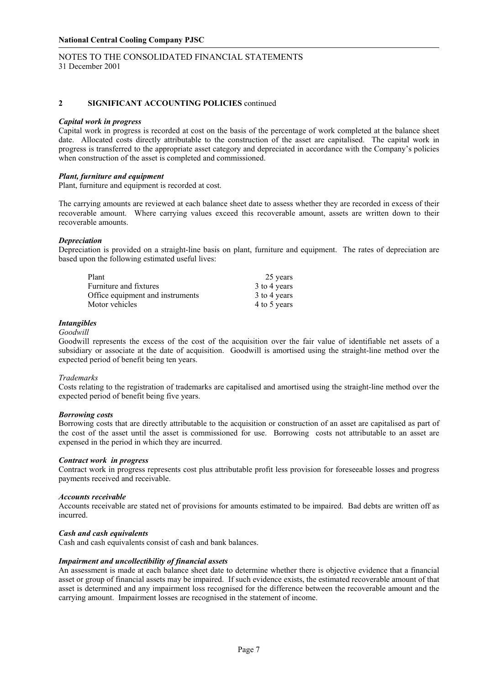# **2 SIGNIFICANT ACCOUNTING POLICIES** continued

#### *Capital work in progress*

Capital work in progress is recorded at cost on the basis of the percentage of work completed at the balance sheet date. Allocated costs directly attributable to the construction of the asset are capitalised. The capital work in progress is transferred to the appropriate asset category and depreciated in accordance with the Company's policies when construction of the asset is completed and commissioned.

### *Plant, furniture and equipment*

Plant, furniture and equipment is recorded at cost.

The carrying amounts are reviewed at each balance sheet date to assess whether they are recorded in excess of their recoverable amount. Where carrying values exceed this recoverable amount, assets are written down to their recoverable amounts.

### *Depreciation*

Depreciation is provided on a straight-line basis on plant, furniture and equipment. The rates of depreciation are based upon the following estimated useful lives:

| Plant                            | 25 years     |
|----------------------------------|--------------|
| Furniture and fixtures           | 3 to 4 years |
| Office equipment and instruments | 3 to 4 years |
| Motor vehicles                   | 4 to 5 years |

### *Intangibles*

### *Goodwill*

Goodwill represents the excess of the cost of the acquisition over the fair value of identifiable net assets of a subsidiary or associate at the date of acquisition. Goodwill is amortised using the straight-line method over the expected period of benefit being ten years.

### *Trademarks*

Costs relating to the registration of trademarks are capitalised and amortised using the straight-line method over the expected period of benefit being five years.

### *Borrowing costs*

Borrowing costs that are directly attributable to the acquisition or construction of an asset are capitalised as part of the cost of the asset until the asset is commissioned for use. Borrowing costs not attributable to an asset are expensed in the period in which they are incurred.

### *Contract work in progress*

Contract work in progress represents cost plus attributable profit less provision for foreseeable losses and progress payments received and receivable.

### *Accounts receivable*

Accounts receivable are stated net of provisions for amounts estimated to be impaired. Bad debts are written off as incurred.

### *Cash and cash equivalents*

Cash and cash equivalents consist of cash and bank balances.

### *Impairment and uncollectibility of financial assets*

An assessment is made at each balance sheet date to determine whether there is objective evidence that a financial asset or group of financial assets may be impaired. If such evidence exists, the estimated recoverable amount of that asset is determined and any impairment loss recognised for the difference between the recoverable amount and the carrying amount. Impairment losses are recognised in the statement of income.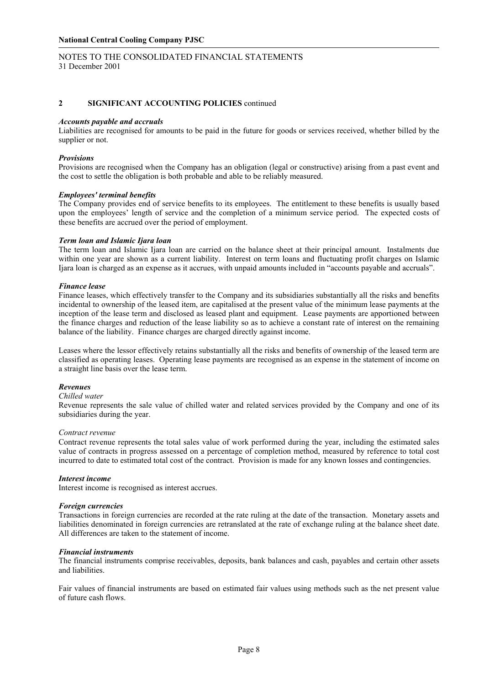### **National Central Cooling Company PJSC**

### NOTES TO THE CONSOLIDATED FINANCIAL STATEMENTS 31 December 2001

## **2 SIGNIFICANT ACCOUNTING POLICIES** continued

#### *Accounts payable and accruals*

Liabilities are recognised for amounts to be paid in the future for goods or services received, whether billed by the supplier or not.

### *Provisions*

Provisions are recognised when the Company has an obligation (legal or constructive) arising from a past event and the cost to settle the obligation is both probable and able to be reliably measured.

### *Employees' terminal benefits*

The Company provides end of service benefits to its employees. The entitlement to these benefits is usually based upon the employees' length of service and the completion of a minimum service period. The expected costs of these benefits are accrued over the period of employment.

#### *Term loan and Islamic Ijara loan*

The term loan and Islamic Ijara loan are carried on the balance sheet at their principal amount. Instalments due within one year are shown as a current liability. Interest on term loans and fluctuating profit charges on Islamic Ijara loan is charged as an expense as it accrues, with unpaid amounts included in "accounts payable and accruals".

#### *Finance lease*

Finance leases, which effectively transfer to the Company and its subsidiaries substantially all the risks and benefits incidental to ownership of the leased item, are capitalised at the present value of the minimum lease payments at the inception of the lease term and disclosed as leased plant and equipment. Lease payments are apportioned between the finance charges and reduction of the lease liability so as to achieve a constant rate of interest on the remaining balance of the liability. Finance charges are charged directly against income.

Leases where the lessor effectively retains substantially all the risks and benefits of ownership of the leased term are classified as operating leases. Operating lease payments are recognised as an expense in the statement of income on a straight line basis over the lease term.

### *Revenues*

#### *Chilled water*

Revenue represents the sale value of chilled water and related services provided by the Company and one of its subsidiaries during the year.

#### *Contract revenue*

Contract revenue represents the total sales value of work performed during the year, including the estimated sales value of contracts in progress assessed on a percentage of completion method, measured by reference to total cost incurred to date to estimated total cost of the contract. Provision is made for any known losses and contingencies.

### *Interest income*

Interest income is recognised as interest accrues.

### *Foreign currencies*

Transactions in foreign currencies are recorded at the rate ruling at the date of the transaction. Monetary assets and liabilities denominated in foreign currencies are retranslated at the rate of exchange ruling at the balance sheet date. All differences are taken to the statement of income.

#### *Financial instruments*

The financial instruments comprise receivables, deposits, bank balances and cash, payables and certain other assets and liabilities.

Fair values of financial instruments are based on estimated fair values using methods such as the net present value of future cash flows.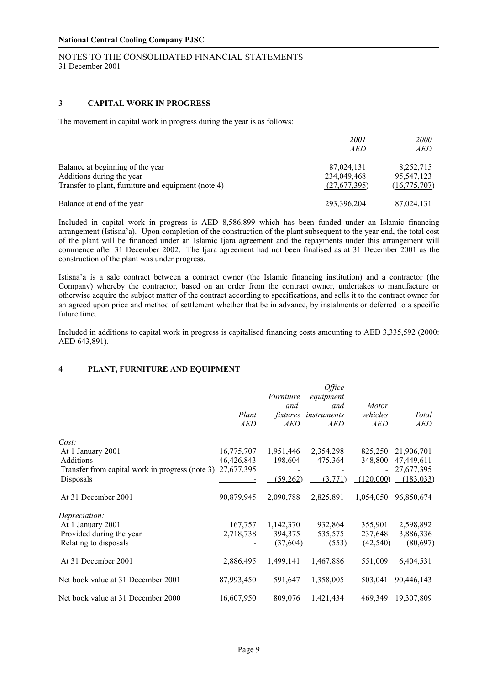# **3 CAPITAL WORK IN PROGRESS**

The movement in capital work in progress during the year is as follows:

|                                                                                  | 2001<br><i>AED</i>          | <i>2000</i><br>AED           |
|----------------------------------------------------------------------------------|-----------------------------|------------------------------|
| Balance at beginning of the year                                                 | 87,024,131                  | 8,252,715                    |
| Additions during the year<br>Transfer to plant, furniture and equipment (note 4) | 234,049,468<br>(27,677,395) | 95,547,123<br>(16, 775, 707) |
| Balance at end of the year                                                       | 293,396,204                 | 87,024,131                   |

Included in capital work in progress is AED 8,586,899 which has been funded under an Islamic financing arrangement (Istisna'a). Upon completion of the construction of the plant subsequent to the year end, the total cost of the plant will be financed under an Islamic Ijara agreement and the repayments under this arrangement will commence after 31 December 2002. The Ijara agreement had not been finalised as at 31 December 2001 as the construction of the plant was under progress.

Istisna'a is a sale contract between a contract owner (the Islamic financing institution) and a contractor (the Company) whereby the contractor, based on an order from the contract owner, undertakes to manufacture or otherwise acquire the subject matter of the contract according to specifications, and sells it to the contract owner for an agreed upon price and method of settlement whether that be in advance, by instalments or deferred to a specific future time.

Included in additions to capital work in progress is capitalised financing costs amounting to AED 3,335,592 (2000: AED 643,891).

# **4 PLANT, FURNITURE AND EQUIPMENT**

|                                                 | Plant<br>AED | Furniture<br>and<br>fixtures<br><b>AED</b> | Office<br>equipment<br>and<br>instruments<br><b>AED</b> | <b>Motor</b><br>vehicles<br><b>AED</b> | Total<br><b>AED</b> |
|-------------------------------------------------|--------------|--------------------------------------------|---------------------------------------------------------|----------------------------------------|---------------------|
| Cost:                                           |              |                                            |                                                         |                                        |                     |
| At 1 January 2001                               | 16,775,707   | 1,951,446                                  | 2,354,298                                               | 825,250                                | 21,906,701          |
| <b>Additions</b>                                | 46,426,843   | 198,604                                    | 475,364                                                 | 348,800                                | 47,449,611          |
| Transfer from capital work in progress (note 3) | 27,677,395   |                                            |                                                         |                                        | 27,677,395          |
| Disposals                                       |              | (59,262)                                   | (3,771)                                                 | (120,000)                              | (183, 033)          |
| At 31 December 2001                             | 90,879,945   | 2,090,788                                  | 2,825,891                                               | 1,054,050                              | 96,850,674          |
| Depreciation:                                   |              |                                            |                                                         |                                        |                     |
| At 1 January 2001                               | 167,757      | 1,142,370                                  | 932,864                                                 | 355,901                                | 2,598,892           |
| Provided during the year                        | 2,718,738    | 394, 375                                   | 535,575                                                 | 237,648                                | 3,886,336           |
| Relating to disposals                           |              | (37,604)                                   | (553)                                                   | (42, 540)                              | (80,697)            |
| At 31 December 2001                             | 2,886,495    | 1,499,141                                  | 1,467,886                                               | 551,009                                | 6,404,531           |
| Net book value at 31 December 2001              | 87,993,450   | 591,647                                    | 1,358,005                                               | 503,041                                | <u>90,446,143</u>   |
| Net book value at 31 December 2000              | 16,607,950   | 809,076                                    | 1,421,434                                               | 469,349                                | 19,307,809          |
|                                                 |              |                                            |                                                         |                                        |                     |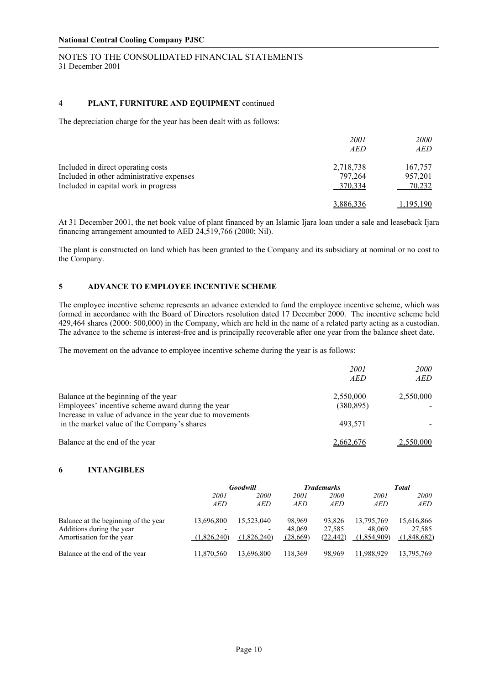# **4 PLANT, FURNITURE AND EQUIPMENT** continued

The depreciation charge for the year has been dealt with as follows:

|                                                                                                                         | 2001<br><i>AED</i>              | <i>2000</i><br>AED           |
|-------------------------------------------------------------------------------------------------------------------------|---------------------------------|------------------------------|
| Included in direct operating costs<br>Included in other administrative expenses<br>Included in capital work in progress | 2,718,738<br>797,264<br>370,334 | 167,757<br>957,201<br>70,232 |
|                                                                                                                         | <u>3,886,336</u>                | .195.190                     |

At 31 December 2001, the net book value of plant financed by an Islamic Ijara loan under a sale and leaseback Ijara financing arrangement amounted to AED 24,519,766 (2000; Nil).

The plant is constructed on land which has been granted to the Company and its subsidiary at nominal or no cost to the Company.

# **5 ADVANCE TO EMPLOYEE INCENTIVE SCHEME**

The employee incentive scheme represents an advance extended to fund the employee incentive scheme, which was formed in accordance with the Board of Directors resolution dated 17 December 2000. The incentive scheme held 429,464 shares (2000: 500,000) in the Company, which are held in the name of a related party acting as a custodian. The advance to the scheme is interest-free and is principally recoverable after one year from the balance sheet date.

The movement on the advance to employee incentive scheme during the year is as follows:

|                                                                                                                                                        | 2001<br><i>AED</i>      | <i>2000</i><br><i>AED</i> |
|--------------------------------------------------------------------------------------------------------------------------------------------------------|-------------------------|---------------------------|
| Balance at the beginning of the year<br>Employees' incentive scheme award during the year<br>Increase in value of advance in the year due to movements | 2,550,000<br>(380, 895) | 2,550,000                 |
| in the market value of the Company's shares                                                                                                            | 493,571                 |                           |
| Balance at the end of the year                                                                                                                         | 2,662,676               | 2,550,000                 |

# **6 INTANGIBLES**

|                                      |                          | Goodwill    |          | <b>Trademarks</b> |             | <b>Total</b> |
|--------------------------------------|--------------------------|-------------|----------|-------------------|-------------|--------------|
|                                      | 2001                     | <i>2000</i> | 2001     | <i>2000</i>       | 2001        | <i>2000</i>  |
|                                      | <b>AED</b>               | <i>AED</i>  | AED      | <b>AED</b>        | <b>AED</b>  | AED          |
| Balance at the beginning of the year | 13,696,800               | 15,523,040  | 98,969   | 93.826            | 13,795,769  | 15,616,866   |
| Additions during the year            | $\overline{\phantom{0}}$ | ۰.          | 48.069   | 27.585            | 48,069      | 27,585       |
| Amortisation for the year            | (1.826.240)              | (1.826.240) | (28,669) | (22, 442)         | (1.854.909) | (1,848,682)  |
| Balance at the end of the year       | 11.870.560               | 13.696.800  | 118,369  | 98,969            | 11.988.929  | 13.795.769   |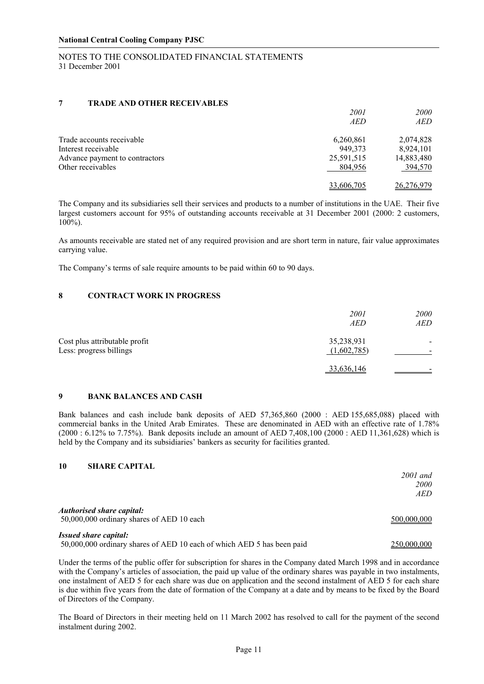# **7 TRADE AND OTHER RECEIVABLES**

|                                | 2001       | <i>2000</i> |
|--------------------------------|------------|-------------|
|                                | <i>AED</i> | AED         |
| Trade accounts receivable      | 6,260,861  | 2,074,828   |
| Interest receivable            | 949.373    | 8.924.101   |
| Advance payment to contractors | 25,591,515 | 14,883,480  |
| Other receivables              | 804.956    | 394,570     |
|                                | 33,606,705 | 26,276,979  |

The Company and its subsidiaries sell their services and products to a number of institutions in the UAE. Their five largest customers account for 95% of outstanding accounts receivable at 31 December 2001 (2000: 2 customers,  $100\%$ ).

As amounts receivable are stated net of any required provision and are short term in nature, fair value approximates carrying value.

The Company's terms of sale require amounts to be paid within 60 to 90 days.

# **8 CONTRACT WORK IN PROGRESS**

|                                                          | 2001<br><b>AED</b>        | <i>2000</i><br><b>AED</b> |
|----------------------------------------------------------|---------------------------|---------------------------|
| Cost plus attributable profit<br>Less: progress billings | 35,238,931<br>(1,602,785) |                           |
|                                                          | 33,636,146                |                           |

# **9 BANK BALANCES AND CASH**

Bank balances and cash include bank deposits of AED 57,365,860 (2000 : AED 155,685,088) placed with commercial banks in the United Arab Emirates. These are denominated in AED with an effective rate of 1.78% (2000 : 6.12% to 7.75%). Bank deposits include an amount of AED 7,408,100 (2000 : AED 11,361,628) which is held by the Company and its subsidiaries' bankers as security for facilities granted.

# **10 SHARE CAPITAL**

|                                                                                                 | 2001 and<br><i>2000</i><br><i>AED</i> |
|-------------------------------------------------------------------------------------------------|---------------------------------------|
| Authorised share capital:<br>50,000,000 ordinary shares of AED 10 each                          | 500,000,000                           |
| Issued share capital:<br>50,000,000 ordinary shares of AED 10 each of which AED 5 has been paid | 250.000.000                           |

Under the terms of the public offer for subscription for shares in the Company dated March 1998 and in accordance with the Company's articles of association, the paid up value of the ordinary shares was payable in two instalments, one instalment of AED 5 for each share was due on application and the second instalment of AED 5 for each share is due within five years from the date of formation of the Company at a date and by means to be fixed by the Board of Directors of the Company.

The Board of Directors in their meeting held on 11 March 2002 has resolved to call for the payment of the second instalment during 2002.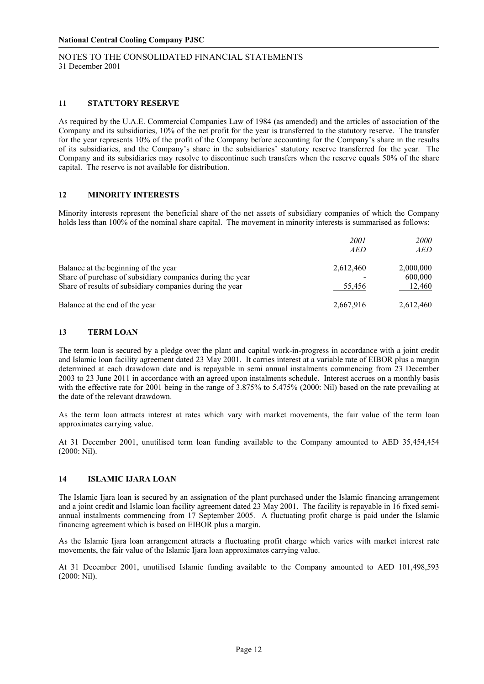# **11 STATUTORY RESERVE**

As required by the U.A.E. Commercial Companies Law of 1984 (as amended) and the articles of association of the Company and its subsidiaries, 10% of the net profit for the year is transferred to the statutory reserve. The transfer for the year represents 10% of the profit of the Company before accounting for the Company's share in the results of its subsidiaries, and the Company's share in the subsidiaries' statutory reserve transferred for the year. The Company and its subsidiaries may resolve to discontinue such transfers when the reserve equals 50% of the share capital. The reserve is not available for distribution.

### **12 MINORITY INTERESTS**

Minority interests represent the beneficial share of the net assets of subsidiary companies of which the Company holds less than 100% of the nominal share capital. The movement in minority interests is summarised as follows:

|                                                                                                                                                               | 2001<br><i>AED</i>  | <i>2000</i><br><i>AED</i>      |
|---------------------------------------------------------------------------------------------------------------------------------------------------------------|---------------------|--------------------------------|
| Balance at the beginning of the year<br>Share of purchase of subsidiary companies during the year<br>Share of results of subsidiary companies during the year | 2,612,460<br>55,456 | 2,000,000<br>600,000<br>12,460 |
| Balance at the end of the year                                                                                                                                | 2,667,916           | 2,612,460                      |

### **13 TERM LOAN**

The term loan is secured by a pledge over the plant and capital work-in-progress in accordance with a joint credit and Islamic loan facility agreement dated 23 May 2001. It carries interest at a variable rate of EIBOR plus a margin determined at each drawdown date and is repayable in semi annual instalments commencing from 23 December 2003 to 23 June 2011 in accordance with an agreed upon instalments schedule. Interest accrues on a monthly basis with the effective rate for 2001 being in the range of 3.875% to 5.475% (2000: Nil) based on the rate prevailing at the date of the relevant drawdown.

As the term loan attracts interest at rates which vary with market movements, the fair value of the term loan approximates carrying value.

At 31 December 2001, unutilised term loan funding available to the Company amounted to AED 35,454,454 (2000: Nil).

## **14 ISLAMIC IJARA LOAN**

The Islamic Ijara loan is secured by an assignation of the plant purchased under the Islamic financing arrangement and a joint credit and Islamic loan facility agreement dated 23 May 2001. The facility is repayable in 16 fixed semiannual instalments commencing from 17 September 2005. A fluctuating profit charge is paid under the Islamic financing agreement which is based on EIBOR plus a margin.

As the Islamic Ijara loan arrangement attracts a fluctuating profit charge which varies with market interest rate movements, the fair value of the Islamic Ijara loan approximates carrying value.

At 31 December 2001, unutilised Islamic funding available to the Company amounted to AED 101,498,593 (2000: Nil).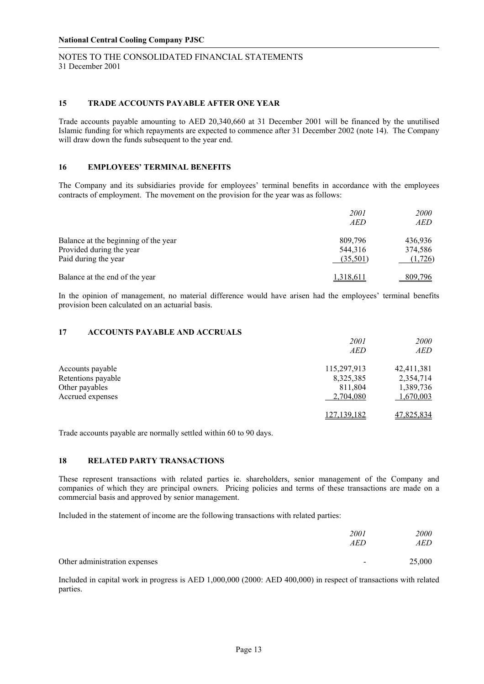# **15 TRADE ACCOUNTS PAYABLE AFTER ONE YEAR**

Trade accounts payable amounting to AED 20,340,660 at 31 December 2001 will be financed by the unutilised Islamic funding for which repayments are expected to commence after 31 December 2002 (note 14). The Company will draw down the funds subsequent to the year end.

# **16 EMPLOYEES' TERMINAL BENEFITS**

The Company and its subsidiaries provide for employees' terminal benefits in accordance with the employees contracts of employment. The movement on the provision for the year was as follows:

|                                                                                          | 2001<br>AED                    | <i>2000</i><br>AED            |
|------------------------------------------------------------------------------------------|--------------------------------|-------------------------------|
| Balance at the beginning of the year<br>Provided during the year<br>Paid during the year | 809,796<br>544,316<br>(35,501) | 436,936<br>374,586<br>(1,726) |
| Balance at the end of the year                                                           | 1,318,611                      | 809,796                       |

In the opinion of management, no material difference would have arisen had the employees' terminal benefits provision been calculated on an actuarial basis.

### **17 ACCOUNTS PAYABLE AND ACCRUALS**

|                    | 2001               | <i>2000</i> |
|--------------------|--------------------|-------------|
|                    | <i>AED</i>         | AED         |
| Accounts payable   | 115,297,913        | 42,411,381  |
| Retentions payable | 8,325,385          | 2,354,714   |
| Other payables     | 811,804            | 1,389,736   |
| Accrued expenses   | 2,704,080          | 1,670,003   |
|                    | <u>127,139,182</u> | 47,825,834  |

Trade accounts payable are normally settled within 60 to 90 days.

### **18 RELATED PARTY TRANSACTIONS**

These represent transactions with related parties ie. shareholders, senior management of the Company and companies of which they are principal owners. Pricing policies and terms of these transactions are made on a commercial basis and approved by senior management.

Included in the statement of income are the following transactions with related parties:

|                               | 2001<br>AED | 2000<br>AED |
|-------------------------------|-------------|-------------|
| Other administration expenses | $\sim$      | 25,000      |

Included in capital work in progress is AED 1,000,000 (2000: AED 400,000) in respect of transactions with related parties.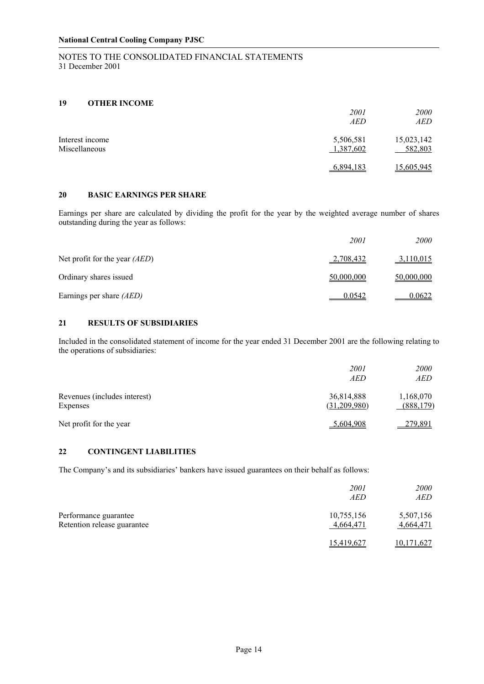# **19 OTHER INCOME**

|                                  | 2001<br>AED            | <i>2000</i><br>AED    |
|----------------------------------|------------------------|-----------------------|
| Interest income<br>Miscellaneous | 5,506,581<br>1,387,602 | 15,023,142<br>582,803 |
|                                  | 6,894,183              | 15,605,945            |

# **20 BASIC EARNINGS PER SHARE**

Earnings per share are calculated by dividing the profit for the year by the weighted average number of shares outstanding during the year as follows:

|                                 | 2001       | <i>2000</i> |
|---------------------------------|------------|-------------|
| Net profit for the year $(AED)$ | 2,708,432  | 3,110,015   |
| Ordinary shares issued          | 50,000,000 | 50,000,000  |
| Earnings per share (AED)        | 0.0542     | 0.0622      |

# **21 RESULTS OF SUBSIDIARIES**

Included in the consolidated statement of income for the year ended 31 December 2001 are the following relating to the operations of subsidiaries:

|                                          | 2001<br>AED                | <i>2000</i><br>AED     |
|------------------------------------------|----------------------------|------------------------|
| Revenues (includes interest)<br>Expenses | 36,814,888<br>(31,209,980) | 1,168,070<br>(888,179) |
| Net profit for the year                  | 5,604,908                  | 279.891                |

# **22 CONTINGENT LIABILITIES**

The Company's and its subsidiaries' bankers have issued guarantees on their behalf as follows:

|                                                      | 2001<br><i>AED</i>      | <i>2000</i><br>AED     |
|------------------------------------------------------|-------------------------|------------------------|
| Performance guarantee<br>Retention release guarantee | 10,755,156<br>4,664,471 | 5,507,156<br>4,664,471 |
|                                                      | 15,419,627              | 10,171,627             |